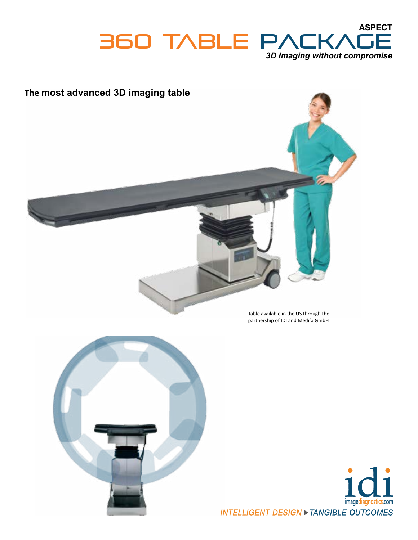







INTELLIGENT DESIGN > TANGIBLE OUTCOMES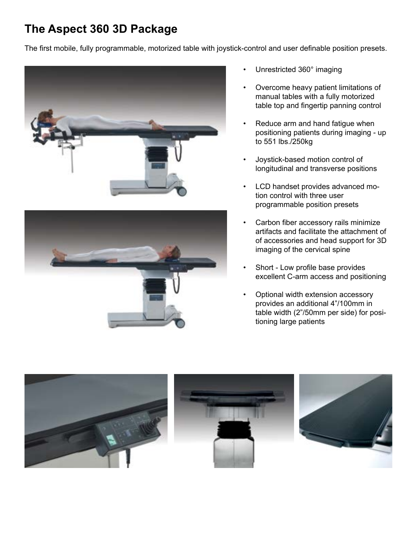## **The Aspect 360 3D Package**

The first mobile, fully programmable, motorized table with joystick-control and user definable position presets.





- Unrestricted 360° imaging
- Overcome heavy patient limitations of manual tables with a fully motorized table top and fingertip panning control
- Reduce arm and hand fatigue when positioning patients during imaging - up to 551 lbs./250kg
- Joystick-based motion control of longitudinal and transverse positions
- LCD handset provides advanced motion control with three user programmable position presets
- Carbon fiber accessory rails minimize artifacts and facilitate the attachment of of accessories and head support for 3D imaging of the cervical spine
- Short Low profile base provides excellent C-arm access and positioning
- Optional width extension accessory provides an additional 4"/100mm in table width (2"/50mm per side) for positioning large patients

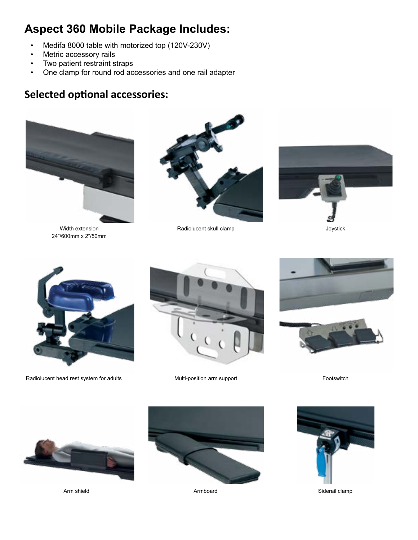## **Aspect 360 Mobile Package Includes:**

- Medifa 8000 table with motorized top (120V-230V)
- Metric accessory rails
- Two patient restraint straps
- One clamp for round rod accessories and one rail adapter

## **Selected optional accessories:**



Width extension 24"/600mm x 2"/50mm



Radiolucent skull clamp



Radiolucent head rest system for adults Multi-position arm support





Footswitch



Arm shield



Armboard



Siderail clamp